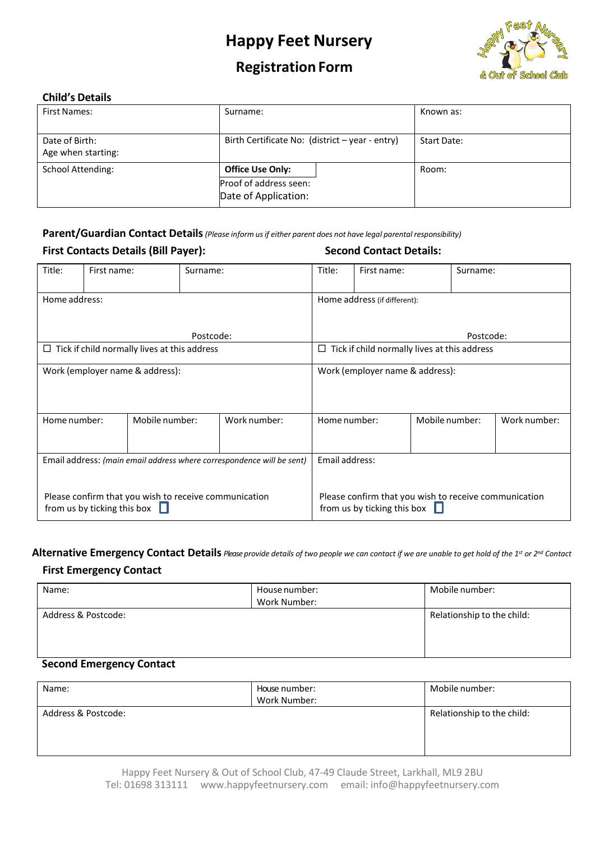

## **Registration Form**

#### **Child's Details**

| <b>First Names:</b>                  | Surname:                                                                  | Known as:   |
|--------------------------------------|---------------------------------------------------------------------------|-------------|
| Date of Birth:<br>Age when starting: | Birth Certificate No: (district - year - entry)                           | Start Date: |
| <b>School Attending:</b>             | <b>Office Use Only:</b><br>Proof of address seen:<br>Date of Application: | Room:       |

**Parent/Guardian Contact Details***(Please inform usif either parent does not have legal parental responsibility)*

| <b>First Contacts Details (Bill Payer):</b>                           |                             |                                                       |          |              |                                                                                             | <b>Second Contact Details:</b>            |                                                     |              |  |  |  |
|-----------------------------------------------------------------------|-----------------------------|-------------------------------------------------------|----------|--------------|---------------------------------------------------------------------------------------------|-------------------------------------------|-----------------------------------------------------|--------------|--|--|--|
| Title:                                                                | First name:                 |                                                       | Surname: |              | Title:                                                                                      | First name:                               |                                                     | Surname:     |  |  |  |
| Home address:<br>Postcode:                                            |                             |                                                       |          |              |                                                                                             | Home address (if different):<br>Postcode: |                                                     |              |  |  |  |
| Tick if child normally lives at this address<br>Ц                     |                             |                                                       |          |              |                                                                                             |                                           | $\Box$ Tick if child normally lives at this address |              |  |  |  |
| Work (employer name & address):                                       |                             |                                                       |          |              | Work (employer name & address):                                                             |                                           |                                                     |              |  |  |  |
| Home number:                                                          |                             | Mobile number:                                        |          | Work number: | Home number:                                                                                |                                           | Mobile number:                                      | Work number: |  |  |  |
| Email address: (main email address where correspondence will be sent) |                             |                                                       |          |              | Email address:                                                                              |                                           |                                                     |              |  |  |  |
|                                                                       | from us by ticking this box | Please confirm that you wish to receive communication |          |              | Please confirm that you wish to receive communication<br>from us by ticking this box $\Box$ |                                           |                                                     |              |  |  |  |

Alternative Emergency Contact Details Please provide details of two people we can contact if we are unable to get hold of the 1st or 2nd Contact

#### **First Emergency Contact**

| Name:               | House number:<br>Work Number: | Mobile number:             |
|---------------------|-------------------------------|----------------------------|
| Address & Postcode: |                               | Relationship to the child: |
|                     |                               |                            |
|                     |                               |                            |
|                     |                               |                            |

### **Second Emergency Contact**

| Name:               | House number:<br>Work Number: | Mobile number:             |
|---------------------|-------------------------------|----------------------------|
| Address & Postcode: |                               | Relationship to the child: |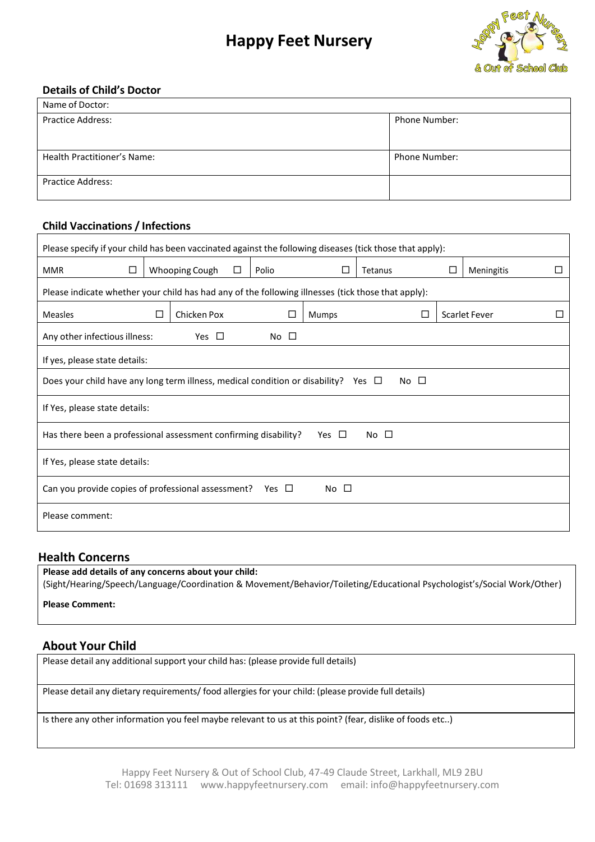

#### **Details of Child's Doctor**

| Name of Doctor:             |                      |
|-----------------------------|----------------------|
| <b>Practice Address:</b>    | <b>Phone Number:</b> |
|                             |                      |
| Health Practitioner's Name: | <b>Phone Number:</b> |
| <b>Practice Address:</b>    |                      |

#### **Child Vaccinations / Infections**

| Please specify if your child has been vaccinated against the following diseases (tick those that apply): |                                                                                                    |                |   |                 |            |              |             |   |                      |  |
|----------------------------------------------------------------------------------------------------------|----------------------------------------------------------------------------------------------------|----------------|---|-----------------|------------|--------------|-------------|---|----------------------|--|
| <b>MMR</b><br>□                                                                                          |                                                                                                    | Whooping Cough | □ | Polio           | Ħ          | Tetanus      |             | □ | Meningitis           |  |
|                                                                                                          | Please indicate whether your child has had any of the following illnesses (tick those that apply): |                |   |                 |            |              |             |   |                      |  |
| <b>Measles</b>                                                                                           | $\Box$                                                                                             | Chicken Pox    |   |                 | Mumps      |              | П           |   | <b>Scarlet Fever</b> |  |
| Any other infectious illness:                                                                            |                                                                                                    | Yes $\Box$     |   | No <sub>1</sub> |            |              |             |   |                      |  |
| If yes, please state details:                                                                            |                                                                                                    |                |   |                 |            |              |             |   |                      |  |
| Does your child have any long term illness, medical condition or disability? Yes $\Box$                  |                                                                                                    |                |   |                 |            |              | $No$ $\Box$ |   |                      |  |
| If Yes, please state details:                                                                            |                                                                                                    |                |   |                 |            |              |             |   |                      |  |
| Has there been a professional assessment confirming disability?                                          |                                                                                                    |                |   |                 | Yes $\Box$ | No $\square$ |             |   |                      |  |
| If Yes, please state details:                                                                            |                                                                                                    |                |   |                 |            |              |             |   |                      |  |
|                                                                                                          | Can you provide copies of professional assessment?<br>$No$ $\Box$<br>Yes $\Box$                    |                |   |                 |            |              |             |   |                      |  |
| Please comment:                                                                                          |                                                                                                    |                |   |                 |            |              |             |   |                      |  |
|                                                                                                          |                                                                                                    |                |   |                 |            |              |             |   |                      |  |

### **Health Concerns**

**Please add details of any concerns about your child:** (Sight/Hearing/Speech/Language/Coordination & Movement/Behavior/Toileting/Educational Psychologist's/Social Work/Other)

**Please Comment:**

### **About Your Child**

Please detail any additional support your child has: (please provide full details)

Please detail any dietary requirements/ food allergies for your child: (please provide full details)

Is there any other information you feel maybe relevant to us at this point? (fear, dislike of foods etc..)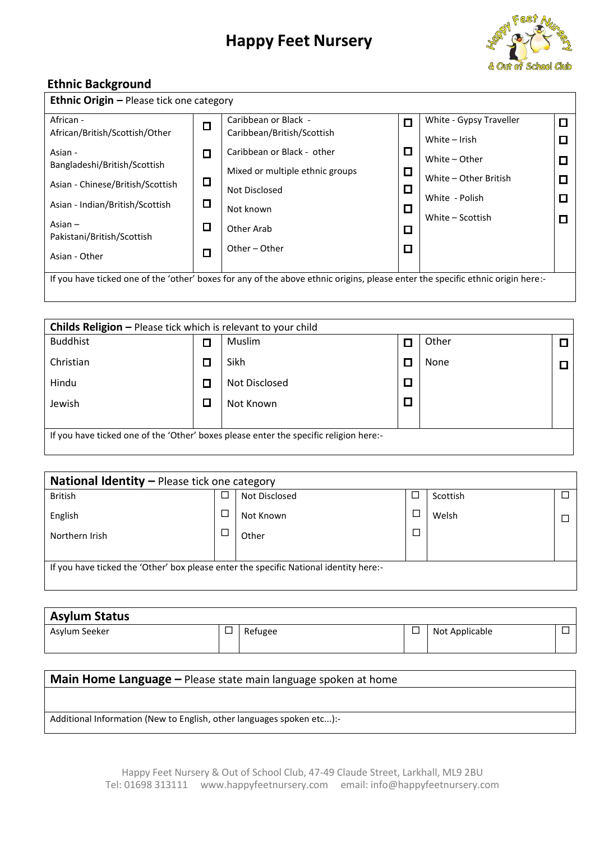

### **Ethnic Background**

| African -                               | $\Box$ | Caribbean or Black -            | П      | White - Gypsy Traveller | $\Box$ |
|-----------------------------------------|--------|---------------------------------|--------|-------------------------|--------|
| African/British/Scottish/Other          |        | Caribbean/British/Scottish      |        | White $-$ Irish         | ◘      |
| Asian -                                 | П      | Caribbean or Black - other      | ◻      | White - Other           |        |
| Bangladeshi/British/Scottish            |        | Mixed or multiple ethnic groups | $\Box$ |                         | $\Box$ |
| Asian - Chinese/British/Scottish        |        | Not Disclosed                   | □      | White - Other British   |        |
| Asian - Indian/British/Scottish         | ◘      |                                 |        | White - Polish          | О      |
|                                         |        | Not known                       | □      | White - Scottish        | О      |
| Asian $-$<br>Pakistani/British/Scottish | $\Box$ | Other Arab                      | □      |                         |        |
|                                         |        | Other - Other                   | П      |                         |        |
| Asian - Other                           |        |                                 |        |                         |        |

| <b>Childs Religion – Please tick which is relevant to your child</b>                  |  |               |  |       |  |  |  |
|---------------------------------------------------------------------------------------|--|---------------|--|-------|--|--|--|
| <b>Buddhist</b>                                                                       |  | Muslim        |  | Other |  |  |  |
| Christian                                                                             |  | Sikh          |  | None  |  |  |  |
| Hindu                                                                                 |  | Not Disclosed |  |       |  |  |  |
| Jewish                                                                                |  | Not Known     |  |       |  |  |  |
| If you have ticked one of the 'Other' boxes please enter the specific religion here:- |  |               |  |       |  |  |  |

| <b>National Identity - Please tick one category</b>                                   |  |               |        |          |  |  |  |  |
|---------------------------------------------------------------------------------------|--|---------------|--------|----------|--|--|--|--|
| <b>British</b>                                                                        |  | Not Disclosed |        | Scottish |  |  |  |  |
| English                                                                               |  | Not Known     |        | Welsh    |  |  |  |  |
| Northern Irish                                                                        |  | Other         | $\Box$ |          |  |  |  |  |
|                                                                                       |  |               |        |          |  |  |  |  |
| If you have ticked the 'Other' box please enter the specific National identity here:- |  |               |        |          |  |  |  |  |
|                                                                                       |  |               |        |          |  |  |  |  |

| <b>Asylum Status</b> |   |         |                |  |
|----------------------|---|---------|----------------|--|
| Asylum Seeker        | ப | Refugee | Not Applicable |  |
|                      |   |         |                |  |

### **Main Home Language –** Please state main language spoken at home

Additional Information (New to English, other languages spoken etc...):-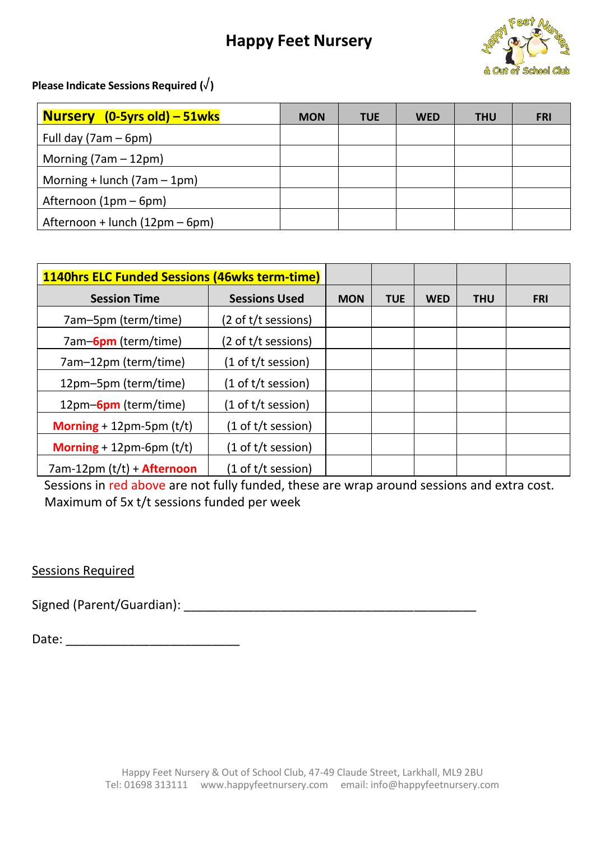

**Please Indicate Sessions Required (**√**)**

| <b>Nursery</b> $(0-5\gamma rs old) - 51wks$ | <b>MON</b> | <b>TUE</b> | <b>WED</b> | <b>THU</b> | <b>FRI</b> |
|---------------------------------------------|------------|------------|------------|------------|------------|
| Full day $(7am - 6pm)$                      |            |            |            |            |            |
| Morning $(7am - 12pm)$                      |            |            |            |            |            |
| Morning + lunch $(7am - 1pm)$               |            |            |            |            |            |
| Afternoon (1pm – 6pm)                       |            |            |            |            |            |
| Afternoon + lunch (12pm – 6pm)              |            |            |            |            |            |

| 1140hrs ELC Funded Sessions (46wks term-time) |                                       |            |            |            |            |            |
|-----------------------------------------------|---------------------------------------|------------|------------|------------|------------|------------|
| <b>Session Time</b>                           | <b>Sessions Used</b>                  | <b>MON</b> | <b>TUE</b> | <b>WED</b> | <b>THU</b> | <b>FRI</b> |
| 7am-5pm (term/time)                           | (2 of t/t sessions)                   |            |            |            |            |            |
| 7am-6pm (term/time)                           | (2 of t/t sessions)                   |            |            |            |            |            |
| 7am-12pm (term/time)                          | (1 of t/t session)                    |            |            |            |            |            |
| 12pm-5pm (term/time)                          | (1 of t/t session)                    |            |            |            |            |            |
| 12pm-6pm (term/time)                          | (1 of t/t session)                    |            |            |            |            |            |
| <b>Morning</b> + 12pm-5pm $(t/t)$             | $(1 \text{ of } t/t \text{ session})$ |            |            |            |            |            |
| Morning $+ 12$ pm-6pm (t/t)                   | $(1$ of t/t session)                  |            |            |            |            |            |
| 7am-12pm (t/t) + <b>Afternoon</b>             | $(1$ of t/t session)                  |            |            |            |            |            |

 Sessions in red above are not fully funded, these are wrap around sessions and extra cost. Maximum of 5x t/t sessions funded per week

## Sessions Required

Signed (Parent/Guardian): \_\_\_\_\_\_\_\_\_\_\_\_\_\_\_\_\_\_\_\_\_\_\_\_\_\_\_\_\_\_\_\_\_\_\_\_\_\_\_\_\_\_

Date: \_\_\_\_\_\_\_\_\_\_\_\_\_\_\_\_\_\_\_\_\_\_\_\_\_